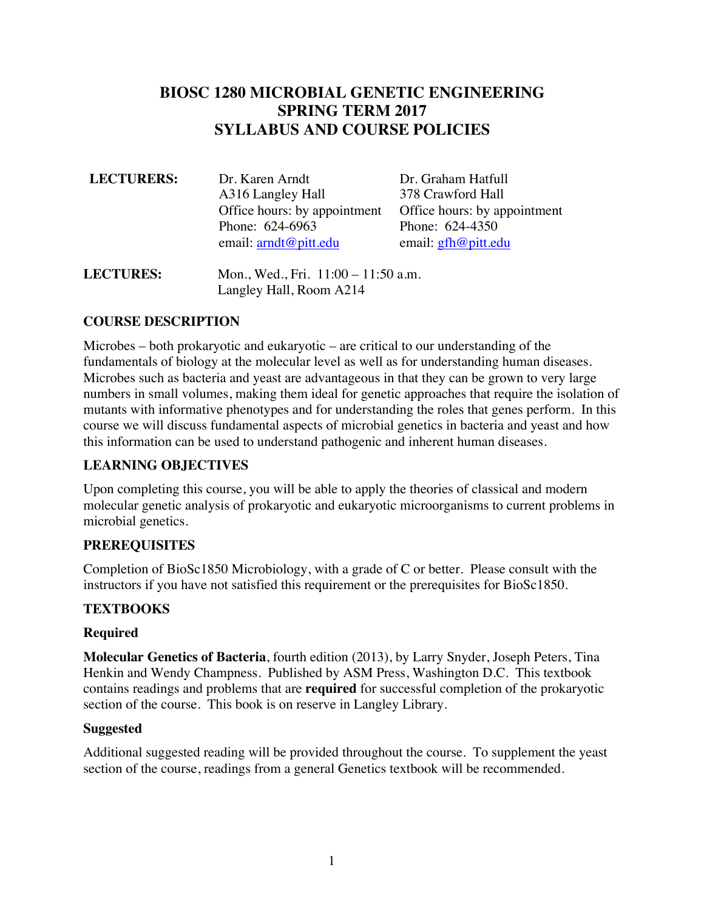## **BIOSC 1280 MICROBIAL GENETIC ENGINEERING SPRING TERM 2017 SYLLABUS AND COURSE POLICIES**

| <b>LECTURERS:</b> | Dr. Karen Arndt                | Dr. Graham Hatfull           |
|-------------------|--------------------------------|------------------------------|
|                   | A316 Langley Hall              | 378 Crawford Hall            |
|                   | Office hours: by appointment   | Office hours: by appointment |
|                   | Phone: 624-6963                | Phone: 624-4350              |
|                   | email: $\text{arndt@pitt.edu}$ | email: $gfh@pitt.edu$        |
|                   |                                |                              |

**LECTURES:** Mon., Wed., Fri. 11:00 – 11:50 a.m. Langley Hall, Room A214

## **COURSE DESCRIPTION**

Microbes – both prokaryotic and eukaryotic – are critical to our understanding of the fundamentals of biology at the molecular level as well as for understanding human diseases. Microbes such as bacteria and yeast are advantageous in that they can be grown to very large numbers in small volumes, making them ideal for genetic approaches that require the isolation of mutants with informative phenotypes and for understanding the roles that genes perform. In this course we will discuss fundamental aspects of microbial genetics in bacteria and yeast and how this information can be used to understand pathogenic and inherent human diseases.

## **LEARNING OBJECTIVES**

Upon completing this course, you will be able to apply the theories of classical and modern molecular genetic analysis of prokaryotic and eukaryotic microorganisms to current problems in microbial genetics.

## **PREREQUISITES**

Completion of BioSc1850 Microbiology, with a grade of C or better. Please consult with the instructors if you have not satisfied this requirement or the prerequisites for BioSc1850.

## **TEXTBOOKS**

#### **Required**

**Molecular Genetics of Bacteria**, fourth edition (2013), by Larry Snyder, Joseph Peters, Tina Henkin and Wendy Champness. Published by ASM Press, Washington D.C. This textbook contains readings and problems that are **required** for successful completion of the prokaryotic section of the course. This book is on reserve in Langley Library.

#### **Suggested**

Additional suggested reading will be provided throughout the course. To supplement the yeast section of the course, readings from a general Genetics textbook will be recommended.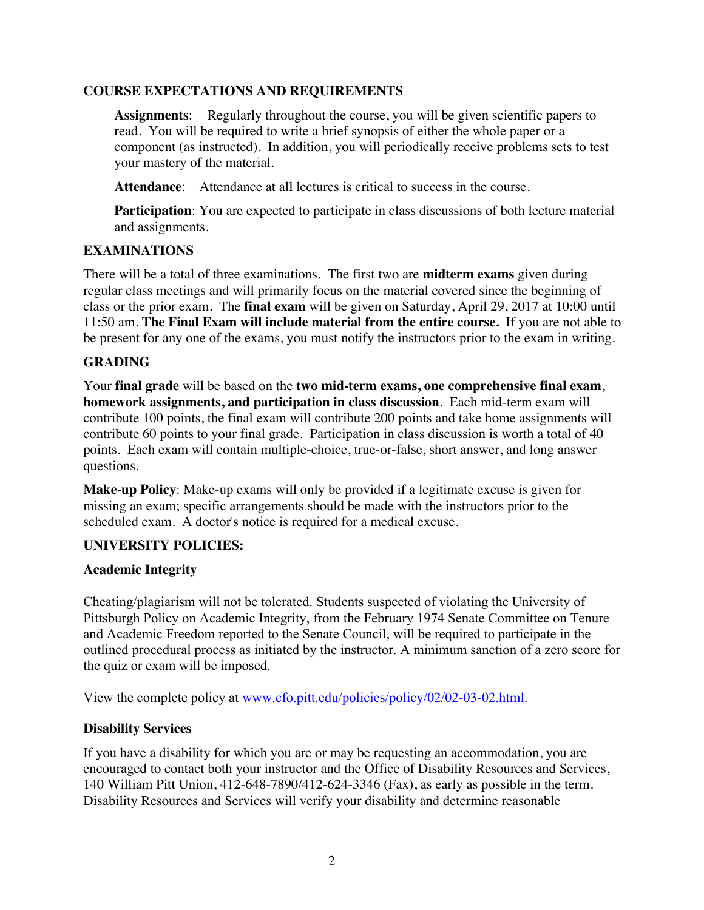### **COURSE EXPECTATIONS AND REQUIREMENTS**

**Assignments**: Regularly throughout the course, you will be given scientific papers to read. You will be required to write a brief synopsis of either the whole paper or a component (as instructed). In addition, you will periodically receive problems sets to test your mastery of the material.

**Attendance**: Attendance at all lectures is critical to success in the course.

**Participation**: You are expected to participate in class discussions of both lecture material and assignments.

#### **EXAMINATIONS**

There will be a total of three examinations. The first two are **midterm exams** given during regular class meetings and will primarily focus on the material covered since the beginning of class or the prior exam. The **final exam** will be given on Saturday, April 29, 2017 at 10:00 until 11:50 am. **The Final Exam will include material from the entire course.** If you are not able to be present for any one of the exams, you must notify the instructors prior to the exam in writing.

### **GRADING**

Your **final grade** will be based on the **two mid-term exams, one comprehensive final exam**, **homework assignments, and participation in class discussion**. Each mid-term exam will contribute 100 points, the final exam will contribute 200 points and take home assignments will contribute 60 points to your final grade. Participation in class discussion is worth a total of 40 points. Each exam will contain multiple-choice, true-or-false, short answer, and long answer questions.

**Make-up Policy**: Make-up exams will only be provided if a legitimate excuse is given for missing an exam; specific arrangements should be made with the instructors prior to the scheduled exam. A doctor's notice is required for a medical excuse.

#### **UNIVERSITY POLICIES:**

#### **Academic Integrity**

Cheating/plagiarism will not be tolerated. Students suspected of violating the University of Pittsburgh Policy on Academic Integrity, from the February 1974 Senate Committee on Tenure and Academic Freedom reported to the Senate Council, will be required to participate in the outlined procedural process as initiated by the instructor. A minimum sanction of a zero score for the quiz or exam will be imposed.

View the complete policy at www.cfo.pitt.edu/policies/policy/02/02-03-02.html.

#### **Disability Services**

If you have a disability for which you are or may be requesting an accommodation, you are encouraged to contact both your instructor and the Office of Disability Resources and Services, 140 William Pitt Union, 412-648-7890/412-624-3346 (Fax), as early as possible in the term. Disability Resources and Services will verify your disability and determine reasonable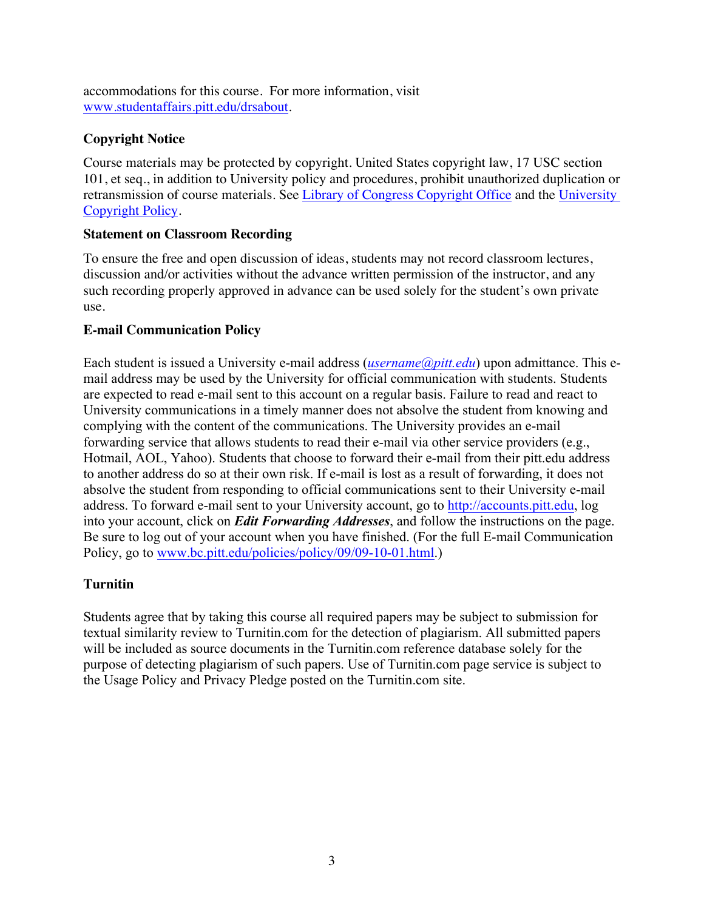accommodations for this course. For more information, visit www.studentaffairs.pitt.edu/drsabout.

## **Copyright Notice**

Course materials may be protected by copyright. United States copyright law, 17 USC section 101, et seq., in addition to University policy and procedures, prohibit unauthorized duplication or retransmission of course materials. See Library of Congress Copyright Office and the University Copyright Policy.

## **Statement on Classroom Recording**

To ensure the free and open discussion of ideas, students may not record classroom lectures, discussion and/or activities without the advance written permission of the instructor, and any such recording properly approved in advance can be used solely for the student's own private use.

## **E-mail Communication Policy**

Each student is issued a University e-mail address (*username@pitt.edu*) upon admittance. This email address may be used by the University for official communication with students. Students are expected to read e-mail sent to this account on a regular basis. Failure to read and react to University communications in a timely manner does not absolve the student from knowing and complying with the content of the communications. The University provides an e-mail forwarding service that allows students to read their e-mail via other service providers (e.g., Hotmail, AOL, Yahoo). Students that choose to forward their e-mail from their pitt.edu address to another address do so at their own risk. If e-mail is lost as a result of forwarding, it does not absolve the student from responding to official communications sent to their University e-mail address. To forward e-mail sent to your University account, go to http://accounts.pitt.edu, log into your account, click on *Edit Forwarding Addresses*, and follow the instructions on the page. Be sure to log out of your account when you have finished. (For the full E-mail Communication Policy, go to www.bc.pitt.edu/policies/policy/09/09-10-01.html.)

## **Turnitin**

Students agree that by taking this course all required papers may be subject to submission for textual similarity review to Turnitin.com for the detection of plagiarism. All submitted papers will be included as source documents in the Turnitin.com reference database solely for the purpose of detecting plagiarism of such papers. Use of Turnitin.com page service is subject to the Usage Policy and Privacy Pledge posted on the Turnitin.com site.